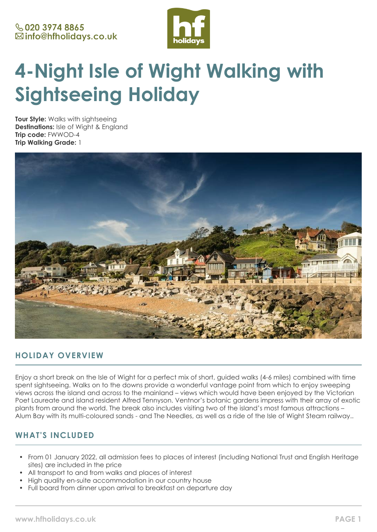

# **4-Night Isle of Wight Walking with Sightseeing Holiday**

**Tour Style:** Walks with sightseeing **Destinations:** Isle of Wight & England **Trip code:** FWWOD-4 **Trip Walking Grade:** 1



## **HOLIDAY OVERVIEW**

Enjoy a short break on the Isle of Wight for a perfect mix of short, guided walks (4-6 miles) combined with time spent sightseeing. Walks on to the downs provide a wonderful vantage point from which to enjoy sweeping views across the island and across to the mainland – views which would have been enjoyed by the Victorian Poet Laureate and island resident Alfred Tennyson. Ventnor's botanic gardens impress with their array of exotic plants from around the world. The break also includes visiting two of the island's most famous attractions – Alum Bay with its multi-coloured sands - and The Needles, as well as a ride of the Isle of Wight Steam railway..

# **WHAT'S INCLUDED**

- From 01 January 2022, all admission fees to places of interest (including National Trust and English Heritage sites) are included in the price
- All transport to and from walks and places of interest
- High quality en-suite accommodation in our country house
- Full board from dinner upon arrival to breakfast on departure day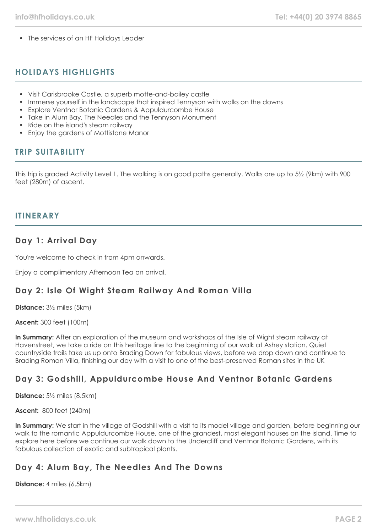• The services of an HF Holidays Leader

## **HOLIDAYS HIGHLIGHTS**

- Visit Carisbrooke Castle, a superb motte-and-bailey castle
- Immerse yourself in the landscape that inspired Tennyson with walks on the downs
- Explore Ventnor Botanic Gardens & Appuldurcombe House
- Take in Alum Bay, The Needles and the Tennyson Monument
- Ride on the island's steam railway
- Enjoy the gardens of Mottistone Manor

## **TRIP SUITABILITY**

This trip is graded Activity Level 1. The walking is on good paths generally. Walks are up to 5½ (9km) with 900 feet (280m) of ascent.

## **ITINERARY**

## **Day 1: Arrival Day**

You're welcome to check in from 4pm onwards.

Enjoy a complimentary Afternoon Tea on arrival.

## **Day 2: Isle Of Wight Steam Railway And Roman Villa**

**Distance:** 3½ miles (5km)

**Ascent:** 300 feet (100m)

**In Summary:** After an exploration of the museum and workshops of the Isle of Wight steam railway at Havenstreet, we take a ride on this heritage line to the beginning of our walk at Ashey station. Quiet countryside trails take us up onto Brading Down for fabulous views, before we drop down and continue to Brading Roman Villa, finishing our day with a visit to one of the best-preserved Roman sites in the UK

## **Day 3: Godshill, Appuldurcombe House And Ventnor Botanic Gardens**

**Distance:** 5½ miles (8.5km)

**Ascent:** 800 feet (240m)

In Summary: We start in the village of Godshill with a visit to its model village and garden, before beginning our walk to the romantic Appuldurcombe House, one of the grandest, most elegant houses on the island. Time to explore here before we continue our walk down to the Undercliff and Ventnor Botanic Gardens, with its fabulous collection of exotic and subtropical plants.

## **Day 4: Alum Bay, The Needles And The Downs**

**Distance:** 4 miles (6.5km)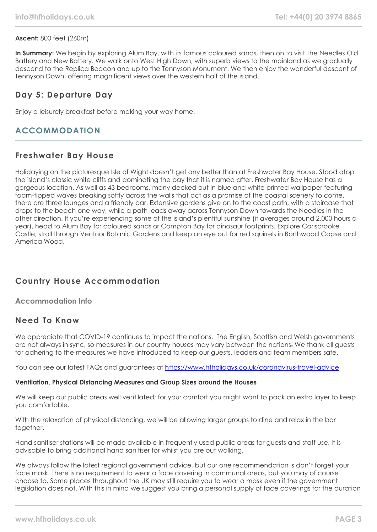## **Ascent:** 800 feet (260m)

**In Summary:** We begin by exploring Alum Bay, with its famous coloured sands, then on to visit The Needles Old Battery and New Battery. We walk onto West High Down, with superb views to the mainland as we gradually descend to the Replica Beacon and up to the Tennyson Monument. We then enjoy the wonderful descent of Tennyson Down, offering magnificent views over the western half of the island.

## **Day 5: Departure Day**

Enjoy a leisurely breakfast before making your way home.

## **ACCOMMODATION**

## **Freshwater Bay House**

Holidaying on the picturesque Isle of Wight doesn't get any better than at Freshwater Bay House. Stood atop the island's classic white cliffs and dominating the bay that it is named after, Freshwater Bay House has a gorgeous location. As well as 43 bedrooms, many decked out in blue and white printed wallpaper featuring foam-tipped waves breaking softly across the walls that act as a promise of the coastal scenery to come, there are three lounges and a friendly bar. Extensive gardens give on to the coast path, with a staircase that drops to the beach one way, while a path leads away across Tennyson Down towards the Needles in the other direction. If you're experiencing some of the island's plentiful sunshine (it averages around 2,000 hours a year), head to Alum Bay for coloured sands or Compton Bay for dinosaur footprints. Explore Carisbrooke Castle, stroll through Ventnor Botanic Gardens and keep an eye out for red squirrels in Borthwood Copse and America Wood.

# **Country House Accommodation**

**Accommodation Info**

## **Need To Know**

We appreciate that COVID-19 continues to impact the nations. The English, Scottish and Welsh governments are not always in sync, so measures in our country houses may vary between the nations. We thank all quests for adhering to the measures we have introduced to keep our guests, leaders and team members safe.

You can see our latest FAQs and guarantees at <https://www.hfholidays.co.uk/coronavirus-travel-advice>

## **Ventilation, Physical Distancing Measures and Group Sizes around the Houses**

We will keep our public areas well ventilated; for your comfort you might want to pack an extra layer to keep you comfortable.

With the relaxation of physical distancing, we will be allowing larger groups to dine and relax in the bar together.

Hand sanitiser stations will be made available in frequently used public areas for guests and staff use. It is advisable to bring additional hand sanitiser for whilst you are out walking.

We always follow the latest regional government advice, but our one recommendation is don't forget your face mask! There is no requirement to wear a face covering in communal areas, but you may of course choose to. Some places throughout the UK may still require you to wear a mask even if the government legislation does not. With this in mind we suggest you bring a personal supply of face coverings for the duration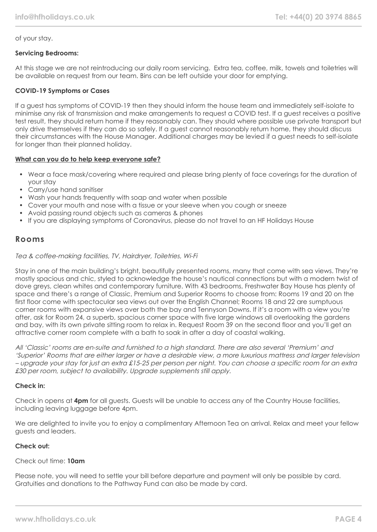## of your stay.

## **Servicing Bedrooms:**

At this stage we are not reintroducing our daily room servicing. Extra tea, coffee, milk, towels and toiletries will be available on request from our team. Bins can be left outside your door for emptying.

## **COVID-19 Symptoms or Cases**

If a guest has symptoms of COVID-19 then they should inform the house team and immediately self-isolate to minimise any risk of transmission and make arrangements to request a COVID test. If a guest receives a positive test result, they should return home if they reasonably can. They should where possible use private transport but only drive themselves if they can do so safely. If a guest cannot reasonably return home, they should discuss their circumstances with the House Manager. Additional charges may be levied if a guest needs to self-isolate for longer than their planned holiday.

#### **What can you do to help keep everyone safe?**

- Wear a face mask/covering where required and please bring plenty of face coverings for the duration of your stay
- Carry/use hand sanitiser
- Wash your hands frequently with soap and water when possible
- Cover your mouth and nose with a tissue or your sleeve when you cough or sneeze
- Avoid passing round objects such as cameras & phones
- If you are displaying symptoms of Coronavirus, please do not travel to an HF Holidays House

## **Rooms**

#### Tea & coffee-making facilities, TV, Hairdryer, Toiletries, Wi-Fi

Stay in one of the main building's bright, beautifully presented rooms, many that come with sea views. They're mostly spacious and chic, styled to acknowledge the house's nautical connections but with a modern twist of dove greys, clean whites and contemporary furniture. With 43 bedrooms, Freshwater Bay House has plenty of space and there's a range of Classic, Premium and Superior Rooms to choose from: Rooms 19 and 20 on the first floor come with spectacular sea views out over the English Channel; Rooms 18 and 22 are sumptuous corner rooms with expansive views over both the bay and Tennyson Downs. If it's a room with a view you're after, ask for Room 24, a superb, spacious corner space with five large windows all overlooking the gardens and bay, with its own private sitting room to relax in. Request Room 39 on the second floor and you'll get an attractive corner room complete with a bath to soak in after a day of coastal walking.

All 'Classic' rooms are en-suite and furnished to a high standard. There are also several 'Premium' and 'Superior' Rooms that are either larger or have a desirable view, a more luxurious mattress and larger television – upgrade your stay for just an extra £15-25 per person per night. You can choose a specific room for an extra £30 per room, subject to availability. Upgrade supplements still apply.

#### **Check in:**

Check in opens at **4pm** for all guests. Guests will be unable to access any of the Country House facilities, including leaving luggage before 4pm.

We are delighted to invite you to enjoy a complimentary Afternoon Tea on arrival. Relax and meet your fellow guests and leaders.

## **Check out:**

#### Check out time: **10am**

Please note, you will need to settle your bill before departure and payment will only be possible by card. Gratuities and donations to the Pathway Fund can also be made by card.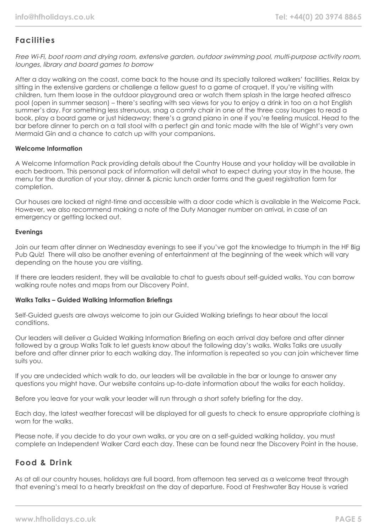# **Facilities**

Free Wi-Fi, boot room and drying room, extensive garden, outdoor swimming pool, multi-purpose activity room, lounges, library and board games to borrow

After a day walking on the coast, come back to the house and its specially tailored walkers' facilities. Relax by sitting in the extensive gardens or challenge a fellow guest to a game of croquet. If you're visiting with children, turn them loose in the outdoor playground area or watch them splash in the large heated alfresco pool (open in summer season) – there's seating with sea views for you to enjoy a drink in too on a hot English summer's day. For something less strenuous, snag a comfy chair in one of the three cosy lounges to read a book, play a board game or just hideaway; there's a grand piano in one if you're feeling musical. Head to the bar before dinner to perch on a tall stool with a perfect gin and tonic made with the Isle of Wight's very own Mermaid Gin and a chance to catch up with your companions.

#### **Welcome Information**

A Welcome Information Pack providing details about the Country House and your holiday will be available in each bedroom. This personal pack of information will detail what to expect during your stay in the house, the menu for the duration of your stay, dinner & picnic lunch order forms and the guest registration form for completion.

Our houses are locked at night-time and accessible with a door code which is available in the Welcome Pack. However, we also recommend making a note of the Duty Manager number on arrival, in case of an emergency or getting locked out.

#### **Evenings**

Join our team after dinner on Wednesday evenings to see if you've got the knowledge to triumph in the HF Big Pub Quiz! There will also be another evening of entertainment at the beginning of the week which will vary depending on the house you are visiting.

If there are leaders resident, they will be available to chat to guests about self-guided walks. You can borrow walking route notes and maps from our Discovery Point.

#### **Walks Talks – Guided Walking Information Briefings**

Self-Guided guests are always welcome to join our Guided Walking briefings to hear about the local conditions.

Our leaders will deliver a Guided Walking Information Briefing on each arrival day before and after dinner followed by a group Walks Talk to let guests know about the following day's walks. Walks Talks are usually before and after dinner prior to each walking day. The information is repeated so you can join whichever time suits you.

If you are undecided which walk to do, our leaders will be available in the bar or lounge to answer any questions you might have. Our website contains up-to-date information about the walks for each holiday.

Before you leave for your walk your leader will run through a short safety briefing for the day.

Each day, the latest weather forecast will be displayed for all guests to check to ensure appropriate clothing is worn for the walks.

Please note, if you decide to do your own walks, or you are on a self-guided walking holiday, you must complete an Independent Walker Card each day. These can be found near the Discovery Point in the house.

## **Food & Drink**

As at all our country houses, holidays are full board, from afternoon tea served as a welcome treat through that evening's meal to a hearty breakfast on the day of departure. Food at Freshwater Bay House is varied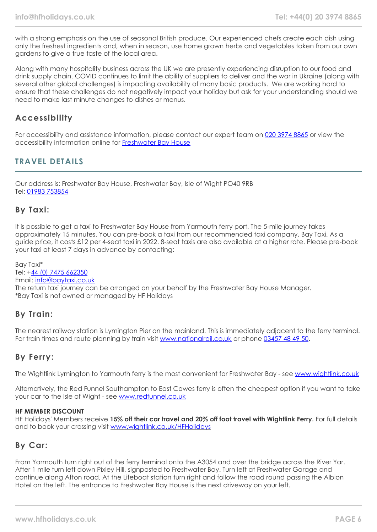with a strong emphasis on the use of seasonal British produce. Our experienced chefs create each dish using only the freshest ingredients and, when in season, use home grown herbs and vegetables taken from our own gardens to give a true taste of the local area.

Along with many hospitality business across the UK we are presently experiencing disruption to our food and drink supply chain. COVID continues to limit the ability of suppliers to deliver and the war in Ukraine (along with several other global challenges) is impacting availability of many basic products. We are working hard to ensure that these challenges do not negatively impact your holiday but ask for your understanding should we need to make last minute changes to dishes or menus.

## **Accessibility**

For accessibility and assistance information, please contact our expert team on [020 3974 8865](tel:02039748865) or view the accessibility information online for [Freshwater Bay House](https://www.hfholidays.co.uk/images/Documents/accessibility_statements/freswater-bay-house---accessibility-information---update-mar-2021.pdf)

## **TRAVEL DETAILS**

Our address is: Freshwater Bay House, Freshwater Bay, Isle of Wight PO40 9RB Tel: [01983 753854](tel:01983753854)

## **By Taxi:**

It is possible to get a taxi to Freshwater Bay House from Yarmouth ferry port. The 5-mile journey takes approximately 15 minutes. You can pre-book a taxi from our recommended taxi company, Bay Taxi. As a guide price, it costs £12 per 4-seat taxi in 2022. 8-seat taxis are also available at a higher rate. Please pre-book your taxi at least 7 days in advance by contacting:

Bay Taxi\* Tel: +[44 \(0\) 7475 662350](tel:07475662350) Email: [info@baytaxi.co.uk](mailto:info@baytaxi.co.uk) The return taxi journey can be arranged on your behalf by the Freshwater Bay House Manager. \*Bay Taxi is not owned or managed by HF Holidays

## **By Train:**

The nearest railway station is Lymington Pier on the mainland. This is immediately adjacent to the ferry terminal. For train times and route planning by train visit [www.nationalrail.co.uk](https://www.nationalrail.co.uk/) or phone [03457 48 49 50](tel:03457484950).

# **By Ferry:**

The Wightlink Lymington to Yarmouth ferry is the most convenient for Freshwater Bay - see [www.wightlink.co.uk](https://www.wightlink.co.uk/)

Alternatively, the Red Funnel Southampton to East Cowes ferry is often the cheapest option if you want to take your car to the Isle of Wight - see [www.redfunnel.co.uk](https://www.redfunnel.co.uk/)

#### **HF MEMBER DISCOUNT**

HF Holidays' Members receive **15% off their car travel and 20% off foot travel with Wightlink Ferry.** For full details and to book your crossing visit [www.wightlink.co.uk/HFHolidays](https://www.wightlink.co.uk/HFHolidays)

## **By Car:**

From Yarmouth turn right out of the ferry terminal onto the A3054 and over the bridge across the River Yar. After 1 mile turn left down Pixley Hill, signposted to Freshwater Bay. Turn left at Freshwater Garage and continue along Afton road. At the Lifeboat station turn right and follow the road round passing the Albion Hotel on the left. The entrance to Freshwater Bay House is the next driveway on your left.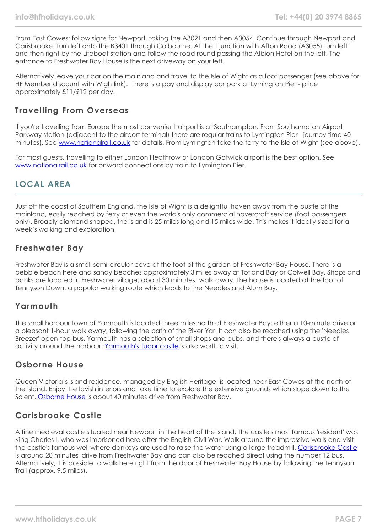From East Cowes: follow signs for Newport, taking the A3021 and then A3054. Continue through Newport and Carisbrooke. Turn left onto the B3401 through Calbourne. At the T junction with Afton Road (A3055) turn left and then right by the Lifeboat station and follow the road round passing the Albion Hotel on the left. The entrance to Freshwater Bay House is the next driveway on your left.

Alternatively leave your car on the mainland and travel to the Isle of Wight as a foot passenger (see above for HF Member discount with Wightlink). There is a pay and display car park at Lymington Pier - price approximately £11/£12 per day.

## **Travelling From Overseas**

If you're travelling from Europe the most convenient airport is at Southampton. From Southampton Airport Parkway station (adjacent to the airport terminal) there are regular trains to Lymington Pier - journey time 40 minutes). See [www.nationalrail.co.uk](https://www.nationalrail.co.uk/) for details. From Lymington take the ferry to the Isle of Wight (see above).

For most guests, travelling to either London Heathrow or London Gatwick airport is the best option. See [www.nationalrail.co.uk](https://www.nationalrail.co.uk/) for onward connections by train to Lymington Pier.

## **LOCAL AREA**

Just off the coast of Southern England, the Isle of Wight is a delightful haven away from the bustle of the mainland, easily reached by ferry or even the world's only commercial hovercraft service (foot passengers only). Broadly diamond shaped, the island is 25 miles long and 15 miles wide. This makes it ideally sized for a week's walking and exploration.

## **Freshwater Bay**

Freshwater Bay is a small semi-circular cove at the foot of the garden of Freshwater Bay House. There is a pebble beach here and sandy beaches approximately 3 miles away at Totland Bay or Colwell Bay. Shops and banks are located in Freshwater village, about 30 minutes' walk away. The house is located at the foot of Tennyson Down, a popular walking route which leads to The Needles and Alum Bay.

## **Yarmouth**

The small harbour town of Yarmouth is located three miles north of Freshwater Bay; either a 10-minute drive or a pleasant 1-hour walk away, following the path of the River Yar. It can also be reached using the 'Needles Breezer' open-top bus. Yarmouth has a selection of small shops and pubs, and there's always a bustle of activity around the harbour. [Yarmouth's Tudor castle](https://www.english-heritage.org.uk/visit/places/yarmouth-castle/) is also worth a visit.

## **Osborne House**

Queen Victoria's island residence, managed by English Heritage, is located near East Cowes at the north of the island. Enjoy the lavish interiors and take time to explore the extensive grounds which slope down to the Solent. [Osborne House](https://www.english-heritage.org.uk/visit/places/osborne/) is about 40 minutes drive from Freshwater Bay.

## **Carisbrooke Castle**

A fine medieval castle situated near Newport in the heart of the island. The castle's most famous 'resident' was King Charles I, who was imprisoned here after the English Civil War. Walk around the impressive walls and visit the castle's famous well where donkeys are used to raise the water using a large treadmill. [Carisbrooke Castle](https://www.english-heritage.org.uk/visit/places/carisbrooke-castle/) is around 20 minutes' drive from Freshwater Bay and can also be reached direct using the number 12 bus. Alternatively, it is possible to walk here right from the door of Freshwater Bay House by following the Tennyson Trail (approx. 9.5 miles).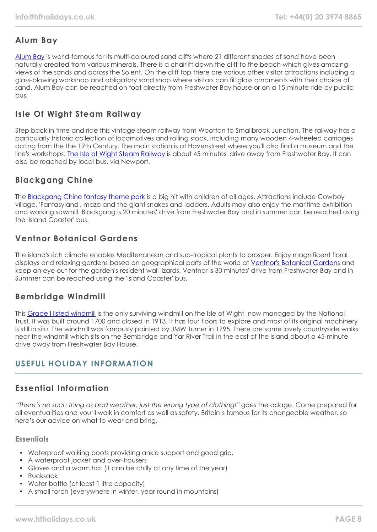# **Alum Bay**

[Alum Bay](https://www.visitisleofwight.co.uk/things-to-do/the-needles-landmark-attraction-p148371) is world-famous for its multi-coloured sand cliffs where 21 different shades of sand have been naturally created from various minerals. There is a chairlift down the cliff to the beach which gives amazing views of the sands and across the Solent. On the cliff top there are various other visitor attractions including a glass-blowing workshop and obligatory sand shop where visitors can fill glass ornaments with their choice of sand. Alum Bay can be reached on foot directly from Freshwater Bay house or on a 15-minute ride by public bus.

# **Isle Of Wight Steam Railway**

Step back in time and ride this vintage steam railway from Wootton to Smallbrook Junction. The railway has a particularly historic collection of locomotives and rolling stock, including many wooden 4-wheeled carriages dating from the the 19th Century. The main station is at Havenstreet where you'll also find a museum and the line's workshops. [The Isle of Wight Steam Railway](https://iwsteamrailway.co.uk/) is about 45 minutes' drive away from Freshwater Bay. It can also be reached by local bus, via Newport.

# **Blackgang Chine**

The [Blackgang Chine fantasy theme park](https://blackgangchine.com/) is a big hit with children of all ages. Attractions include Cowboy village, 'Fantasyland', maze and the giant snakes and ladders. Adults may also enjoy the maritime exhibition and working sawmill. Blackgang is 20 minutes' drive from Freshwater Bay and in summer can be reached using the 'Island Coaster' bus.

# **Ventnor Botanical Gardens**

The island's rich climate enables Mediterranean and sub-tropical plants to prosper. Enjoy magnificent floral displays and relaxing gardens based on geographical parts of the world at [Ventnor's Botanical Gardens](https://www.botanic.co.uk/) and keep an eye out for the garden's resident wall lizards. Ventnor is 30 minutes' drive from Freshwater Bay and in Summer can be reached using the 'Island Coaster' bus.

## **Bembridge Windmill**

This [Grade I listed windmill](https://www.nationaltrust.org.uk/bembridge-windmill) is the only surviving windmill on the Isle of Wight, now managed by the National Trust. It was built around 1700 and closed in 1913. It has four floors to explore and most of its original machinery is still in situ. The windmill was famously painted by JMW Turner in 1795. There are some lovely countryside walks near the windmill which sits on the Bembridge and Yar River Trail in the east of the island about a 45-minute drive away from Freshwater Bay House.

## **USEFUL HOLIDAY INFORMATION**

# **Essential Information**

"There's no such thing as bad weather, just the wrong type of clothing!" goes the adage. Come prepared for all eventualities and you'll walk in comfort as well as safety. Britain's famous for its changeable weather, so here's our advice on what to wear and bring.

## **Essentials**

- Waterproof walking boots providing ankle support and good grip.
- A waterproof jacket and over-trousers
- Gloves and a warm hat (it can be chilly at any time of the year)
- Rucksack
- Water bottle (at least 1 litre capacity)
- A small torch (everywhere in winter, year round in mountains)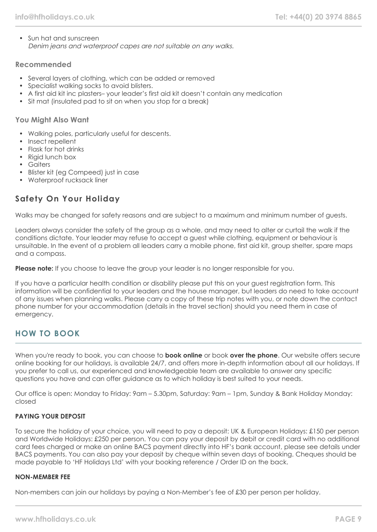• Sun hat and sunscreen Denim jeans and waterproof capes are not suitable on any walks.

## **Recommended**

- Several layers of clothing, which can be added or removed
- Specialist walking socks to avoid blisters.
- A first aid kit inc plasters– your leader's first aid kit doesn't contain any medication
- Sit mat (insulated pad to sit on when you stop for a break)

## **You Might Also Want**

- Walking poles, particularly useful for descents.
- Insect repellent
- Flask for hot drinks
- Rigid lunch box
- Gaiters
- Blister kit (eg Compeed) just in case
- Waterproof rucksack liner

## **Safety On Your Holiday**

Walks may be changed for safety reasons and are subject to a maximum and minimum number of guests.

Leaders always consider the safety of the group as a whole, and may need to alter or curtail the walk if the conditions dictate. Your leader may refuse to accept a guest while clothing, equipment or behaviour is unsuitable. In the event of a problem all leaders carry a mobile phone, first aid kit, group shelter, spare maps and a compass.

**Please note:** If you choose to leave the group your leader is no longer responsible for you.

If you have a particular health condition or disability please put this on your guest registration form. This information will be confidential to your leaders and the house manager, but leaders do need to take account of any issues when planning walks. Please carry a copy of these trip notes with you, or note down the contact phone number for your accommodation (details in the travel section) should you need them in case of emergency.

## **HOW TO BOOK**

When you're ready to book, you can choose to **book online** or book **over the phone**. Our website offers secure online booking for our holidays, is available 24/7, and offers more in-depth information about all our holidays. If you prefer to call us, our experienced and knowledgeable team are available to answer any specific questions you have and can offer guidance as to which holiday is best suited to your needs.

Our office is open: Monday to Friday: 9am – 5.30pm, Saturday: 9am – 1pm, Sunday & Bank Holiday Monday: closed

## **PAYING YOUR DEPOSIT**

To secure the holiday of your choice, you will need to pay a deposit: UK & European Holidays: £150 per person and Worldwide Holidays: £250 per person. You can pay your deposit by debit or credit card with no additional card fees charged or make an online BACS payment directly into HF's bank account, please see details under BACS payments. You can also pay your deposit by cheque within seven days of booking. Cheques should be made payable to 'HF Holidays Ltd' with your booking reference / Order ID on the back.

#### **NON-MEMBER FEE**

Non-members can join our holidays by paying a Non-Member's fee of £30 per person per holiday.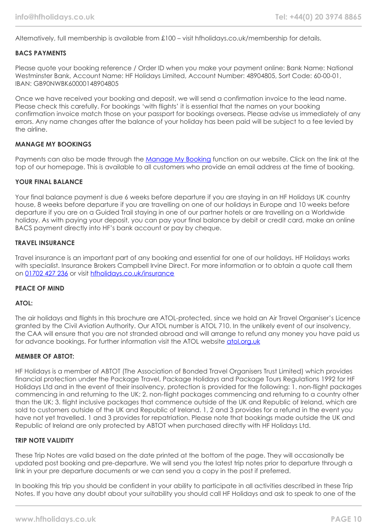Alternatively, full membership is available from £100 – visit hfholidays.co.uk/membership for details.

#### **BACS PAYMENTS**

Please quote your booking reference / Order ID when you make your payment online: Bank Name: National Westminster Bank, Account Name: HF Holidays Limited, Account Number: 48904805, Sort Code: 60-00-01, IBAN: GB90NWBK60000148904805

Once we have received your booking and deposit, we will send a confirmation invoice to the lead name. Please check this carefully. For bookings 'with flights' it is essential that the names on your booking confirmation invoice match those on your passport for bookings overseas. Please advise us immediately of any errors. Any name changes after the balance of your holiday has been paid will be subject to a fee levied by the airline.

#### **MANAGE MY BOOKINGS**

Payments can also be made through the [Manage My Booking](https://www.hfholidays.co.uk/about-us/bookings/my-booking) function on our website. Click on the link at the top of our homepage. This is available to all customers who provide an email address at the time of booking.

#### **YOUR FINAL BALANCE**

Your final balance payment is due 6 weeks before departure if you are staying in an HF Holidays UK country house, 8 weeks before departure if you are travelling on one of our holidays in Europe and 10 weeks before departure if you are on a Guided Trail staying in one of our partner hotels or are travelling on a Worldwide holiday. As with paying your deposit, you can pay your final balance by debit or credit card, make an online BACS payment directly into HF's bank account or pay by cheque.

#### **TRAVEL INSURANCE**

Travel insurance is an important part of any booking and essential for one of our holidays. HF Holidays works with specialist. Insurance Brokers Campbell Irvine Direct. For more information or to obtain a quote call them on [01702 427 236](tel:01702427236) or visit [hfholidays.co.uk/insurance](https://www.hfholidays.co.uk/about-us/bookings/insurance)

#### **PEACE OF MIND**

#### **ATOL:**

The air holidays and flights in this brochure are ATOL-protected, since we hold an Air Travel Organiser's Licence granted by the Civil Aviation Authority. Our ATOL number is ATOL 710. In the unlikely event of our insolvency, the CAA will ensure that you are not stranded abroad and will arrange to refund any money you have paid us for advance bookings. For further information visit the ATOL website [atol.org.uk](https://www.atol.org/)

#### **MEMBER OF ABTOT:**

HF Holidays is a member of ABTOT (The Association of Bonded Travel Organisers Trust Limited) which provides financial protection under the Package Travel, Package Holidays and Package Tours Regulations 1992 for HF Holidays Ltd and in the event of their insolvency, protection is provided for the following: 1. non-flight packages commencing in and returning to the UK; 2. non-flight packages commencing and returning to a country other than the UK; 3. flight inclusive packages that commence outside of the UK and Republic of Ireland, which are sold to customers outside of the UK and Republic of Ireland. 1, 2 and 3 provides for a refund in the event you have not yet travelled. 1 and 3 provides for repatriation. Please note that bookings made outside the UK and Republic of Ireland are only protected by ABTOT when purchased directly with HF Holidays Ltd.

#### **TRIP NOTE VALIDITY**

These Trip Notes are valid based on the date printed at the bottom of the page. They will occasionally be updated post booking and pre-departure. We will send you the latest trip notes prior to departure through a link in your pre departure documents or we can send you a copy in the post if preferred.

In booking this trip you should be confident in your ability to participate in all activities described in these Trip Notes. If you have any doubt about your suitability you should call HF Holidays and ask to speak to one of the